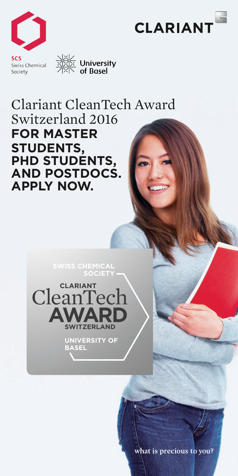



<u>NXI∕</u><br>XXIX University<br>ZIXIN of Basel

## Clariant CleanTech Award Switzerland 2016 **for Master students, PhD students, and Postdocs. Apply now.**

**SWISS CHEMICAL**



**UNIVERSITY OF BASEL**

what is precious to you?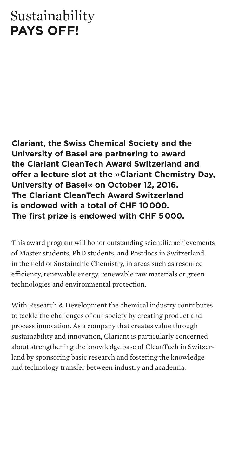## Sustainability **pays off!**

**Clariant, the Swiss Chemical Society and the University of Basel are partnering to award the Clariant CleanTech Award Switzerland and offer a lecture slot at the »Clariant Chemistry Day, University of Basel« on October 12, 2016. The Clariant CleanTech Award Switzerland is endowed with a total of CHF 10 000. The first prize is endowed with CHF 5 000.** 

This award program will honor outstanding scientific achievements of Master students, PhD students, and Postdocs in Switzerland in the field of Sustainable Chemistry, in areas such as resource efficiency, renewable energy, renewable raw materials or green technologies and environmental protection.

With Research & Development the chemical industry contributes to tackle the challenges of our society by creating product and process innovation. As a company that creates value through sustainability and innovation, Clariant is particularly concerned about strengthening the knowledge base of CleanTech in Switzerland by sponsoring basic research and fostering the knowledge and technology transfer between industry and academia.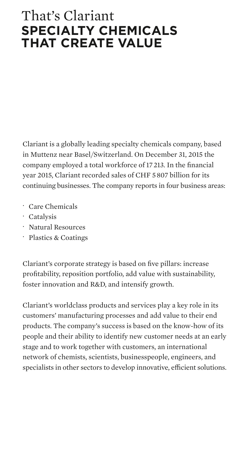## That's Clariant **specialty chemicals that create value**

Clariant is a globally leading specialty chemicals company, based in Muttenz near Basel/Switzerland. On December 31, 2015 the company employed a total workforce of 17 213. In the financial year 2015, Clariant recorded sales of CHF 5 807 billion for its continuing businesses. The company reports in four business areas:

- · Care Chemicals
- · Catalysis
- · Natural Resources
- · Plastics & Coatings

Clariant's corporate strategy is based on five pillars: increase profitability, reposition portfolio, add value with sustainability, foster innovation and R&D, and intensify growth.

Clariant's worldclass products and services play a key role in its customers' manufacturing processes and add value to their end products. The company's success is based on the know-how of its people and their ability to identify new customer needs at an early stage and to work together with customers, an international network of chemists, scientists, businesspeople, engineers, and specialists in other sectors to develop innovative, efficient solutions.